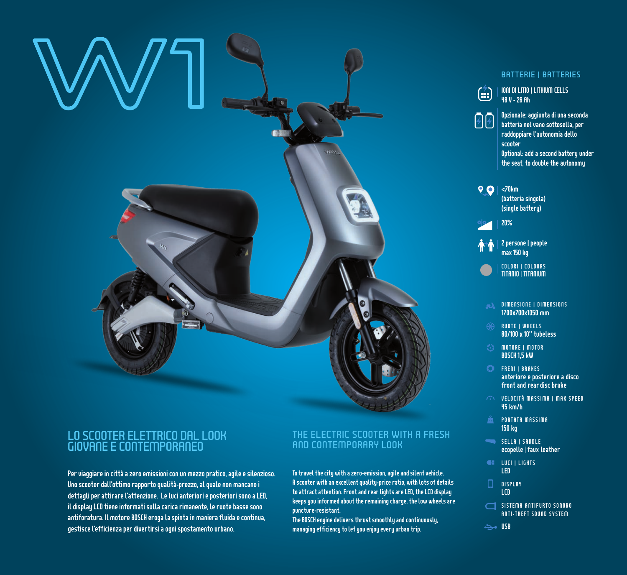

# LO SCOOTER ELETTRICO DAL LOOK GIOVANE E CONTEMPORANEO

Per viaggiare in città a zero emissioni con un mezzo pratico, agile e silenzioso. Uno scooter dall'ottimo rapporto qualità-prezzo, al quale non mancano i dettagli per attirare l'attenzione. Le luci anteriori e posteriori sono a LED, il display LCD tiene informati sulla carica rimanente, le ruote basse sono antiforatura. Il motore BOSCH eroga la spinta in maniera fluida e continua, gestisce l'efficienza per divertirsi a ogni spostamento urbano.

## THE ELECTRIC SCOOTER WITH A FRESH AND CONTEMPORARY LOOK

To travel the city with a zero-emission, agile and silent vehicle. A scooter with an excellent quality-price ratio, with lots of details to attract attention. Front and rear lights are LED, the LCD display keeps you informed about the remaining charge, the low wheels are puncture-resistant.

The BOSCH engine delivers thrust smoothly and continuously, managing efficiency to let you enjoy every urban trip.

### BATTERIE | BATTERIES

IONI DI LITIO | LITHIUM CELLS 48 V - 26 Ah

Opzionale: aggiunta di una seconda batteria nel vano sottosella, per raddoppiare l'autonomia dello scooter Optional: add a second battery under

the seat, to double the autonomy

 $\bigcirc$  | <70km (batteria singola) (single battery) 20%



TITANIO | TITANIUM COLORI | COLOURS

- DIMENSIONE | DIMENSIONS 1700x700x1050 mm
- RUOTE | WHEELS 80/100 x 10" tubeless
- MOTORE | MOTOR BOSCH 1,5 kW
- **C** FRENI | BRAKES anteriore e posteriore a disco front and rear disc brake
- VELOCITÀ MASSIMA | MAX SPEED 45 km/h
- **EXAMPLE A** PORTATA MASSIMA 150 kg
- SELLA | SADDLE ecopelle | faux leather
- **CE LUCI I LIGHTS** LED
- DISPLAY LCD
- SISTEMA ANTIFURTO SONORO ANTI-THEFT SOUND SYSTEM
- $\Rightarrow$  USB